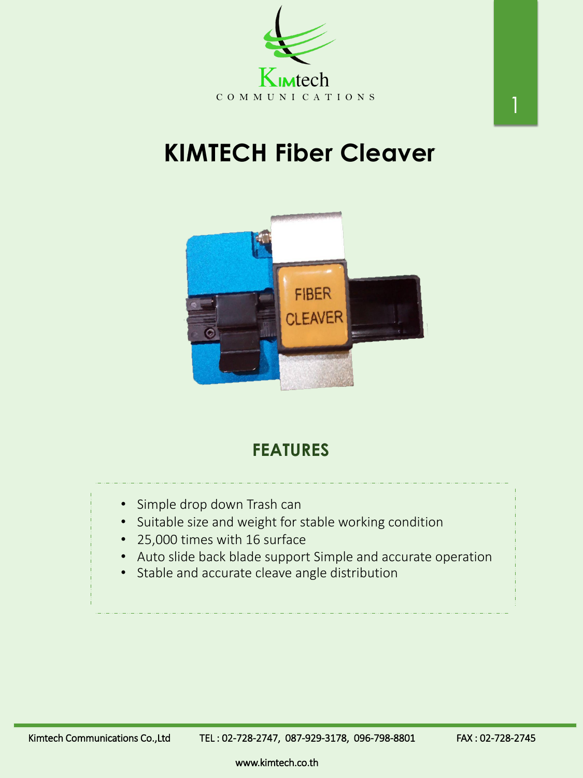# **KIMTECH Fiber Cleaver**





#### **FEATURES**

www.kimtech.co.th

- Simple drop down Trash can
- Suitable size and weight for stable working condition
- 25,000 times with 16 surface
- Auto slide back blade support Simple and accurate operation
- Stable and accurate cleave angle distribution

Kimtech Communications Co.,Ltd TEL: 02-728-2747, 087-929-3178, 096-798-8801 FAX: 02-728-2745

1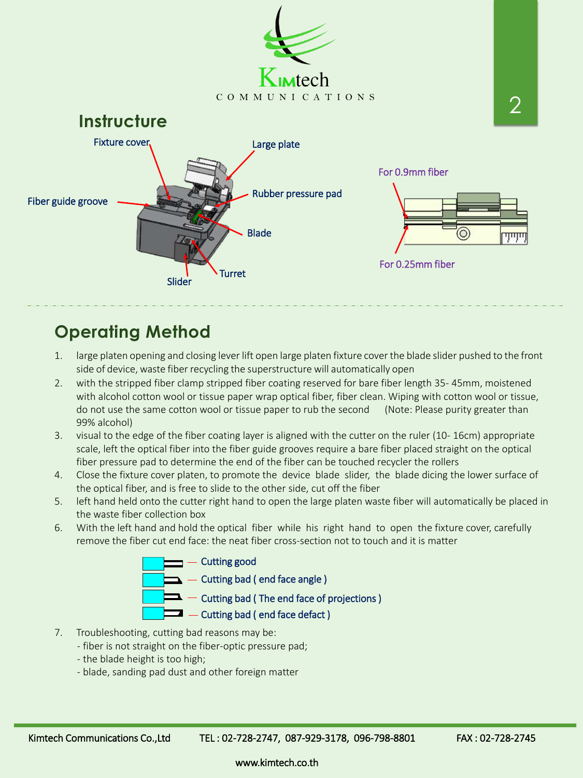www.kimtech.co.th

- 1. large platen opening and closing lever lift open large platen fixture cover the blade slider pushed to the front side of device, waste fiber recycling the superstructure will automatically open
- 2. with the stripped fiber clamp stripped fiber coating reserved for bare fiber length 35- 45mm, moistened with alcohol cotton wool or tissue paper wrap optical fiber, fiber clean. Wiping with cotton wool or tissue, do not use the same cotton wool or tissue paper to rub the second (Note: Please purity greater than 99% alcohol)
- 3. visual to the edge of the fiber coating layer is aligned with the cutter on the ruler (10- 16cm) appropriate scale, left the optical fiber into the fiber guide grooves require a bare fiber placed straight on the optical fiber pressure pad to determine the end of the fiber can be touched recycler the rollers
- 4. Close the fixture cover platen, to promote the device blade slider, the blade dicing the lower surface of the optical fiber, and is free to slide to the other side, cut off the fiber
- 5. left hand held onto the cutter right hand to open the large platen waste fiber will automatically be placed in the waste fiber collection box
- 6. With the left hand and hold the optical fiber while his right hand to open the fixture cover, carefully remove the fiber cut end face: the neat fiber cross-section not to touch and it is matter



- 7. Troubleshooting, cutting bad reasons may be:
	- fiber is not straight on the fiber-optic pressure pad;
	- the blade height is too high;
	- blade, sanding pad dust and other foreign matter

Kimtech Communications Co.,Ltd TEL: 02-728-2747, 087-929-3178, 096-798-8801 FAX: 02-728-2745

#### **Operating Method**

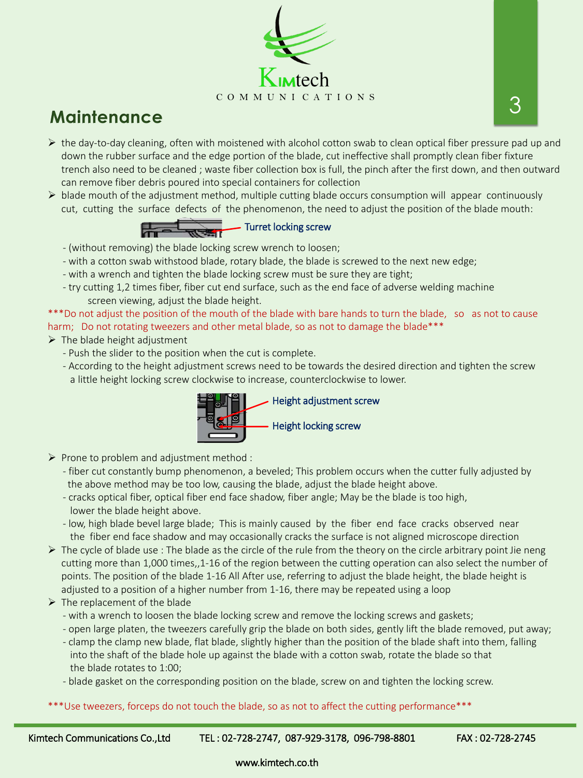

### **Maintenance**

www.kimtech.co.th

- $\triangleright$  the day-to-day cleaning, often with moistened with alcohol cotton swab to clean optical fiber pressure pad up and down the rubber surface and the edge portion of the blade, cut ineffective shall promptly clean fiber fixture trench also need to be cleaned ; waste fiber collection box is full, the pinch after the first down, and then outward can remove fiber debris poured into special containers for collection
- $\triangleright$  blade mouth of the adjustment method, multiple cutting blade occurs consumption will appear continuously cut, cutting the surface defects of the phenomenon, the need to adjust the position of the blade mouth:

- $\triangleright$  The blade height adjustment
	- Push the slider to the position when the cut is complete.
	- According to the height adjustment screws need to be towards the desired direction and tighten the screw a little height locking screw clockwise to increase, counterclockwise to lower.
- (without removing) the blade locking screw wrench to loosen;
- with a cotton swab withstood blade, rotary blade, the blade is screwed to the next new edge;
- with a wrench and tighten the blade locking screw must be sure they are tight;
- try cutting 1,2 times fiber, fiber cut end surface, such as the end face of adverse welding machine screen viewing, adjust the blade height.

\*\*\*Do not adjust the position of the mouth of the blade with bare hands to turn the blade, so as not to cause harm; Do not rotating tweezers and other metal blade, so as not to damage the blade\*\*\*

- $\triangleright$  Prone to problem and adjustment method :
	- fiber cut constantly bump phenomenon, a beveled; This problem occurs when the cutter fully adjusted by the above method may be too low, causing the blade, adjust the blade height above.
	- cracks optical fiber, optical fiber end face shadow, fiber angle; May be the blade is too high, lower the blade height above.
	- low, high blade bevel large blade; This is mainly caused by the fiber end face cracks observed near the fiber end face shadow and may occasionally cracks the surface is not aligned microscope direction
- $\triangleright$  The cycle of blade use : The blade as the circle of the rule from the theory on the circle arbitrary point Jie neng cutting more than 1,000 times,,1-16 of the region between the cutting operation can also select the number of points. The position of the blade 1-16 All After use, referring to adjust the blade height, the blade height is adjusted to a position of a higher number from 1-16, there may be repeated using a loop  $\triangleright$  The replacement of the blade - with a wrench to loosen the blade locking screw and remove the locking screws and gaskets;

- open large platen, the tweezers carefully grip the blade on both sides, gently lift the blade removed, put away;
- clamp the clamp new blade, flat blade, slightly higher than the position of the blade shaft into them, falling into the shaft of the blade hole up against the blade with a cotton swab, rotate the blade so that the blade rotates to 1:00;
- blade gasket on the corresponding position on the blade, screw on and tighten the locking screw.

\*\*\*Use tweezers, forceps do not touch the blade, so as not to affect the cutting performance\*\*\*

Kimtech Communications Co.,Ltd TEL: 02-728-2747, 087-929-3178, 096-798-8801 FAX: 02-728-2745